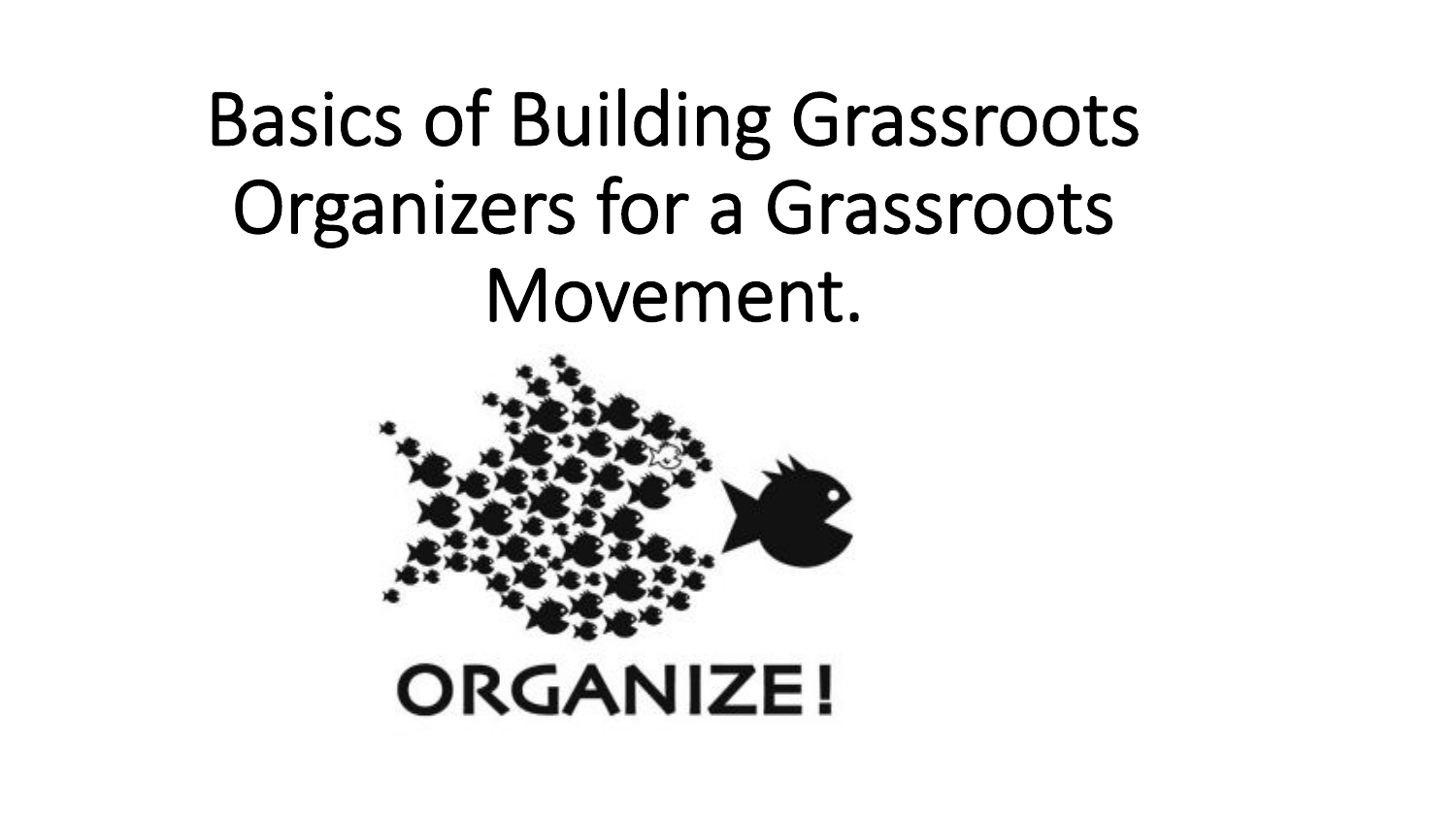# Basics of Building Grassroots Organizers for a Grassroots Movement.

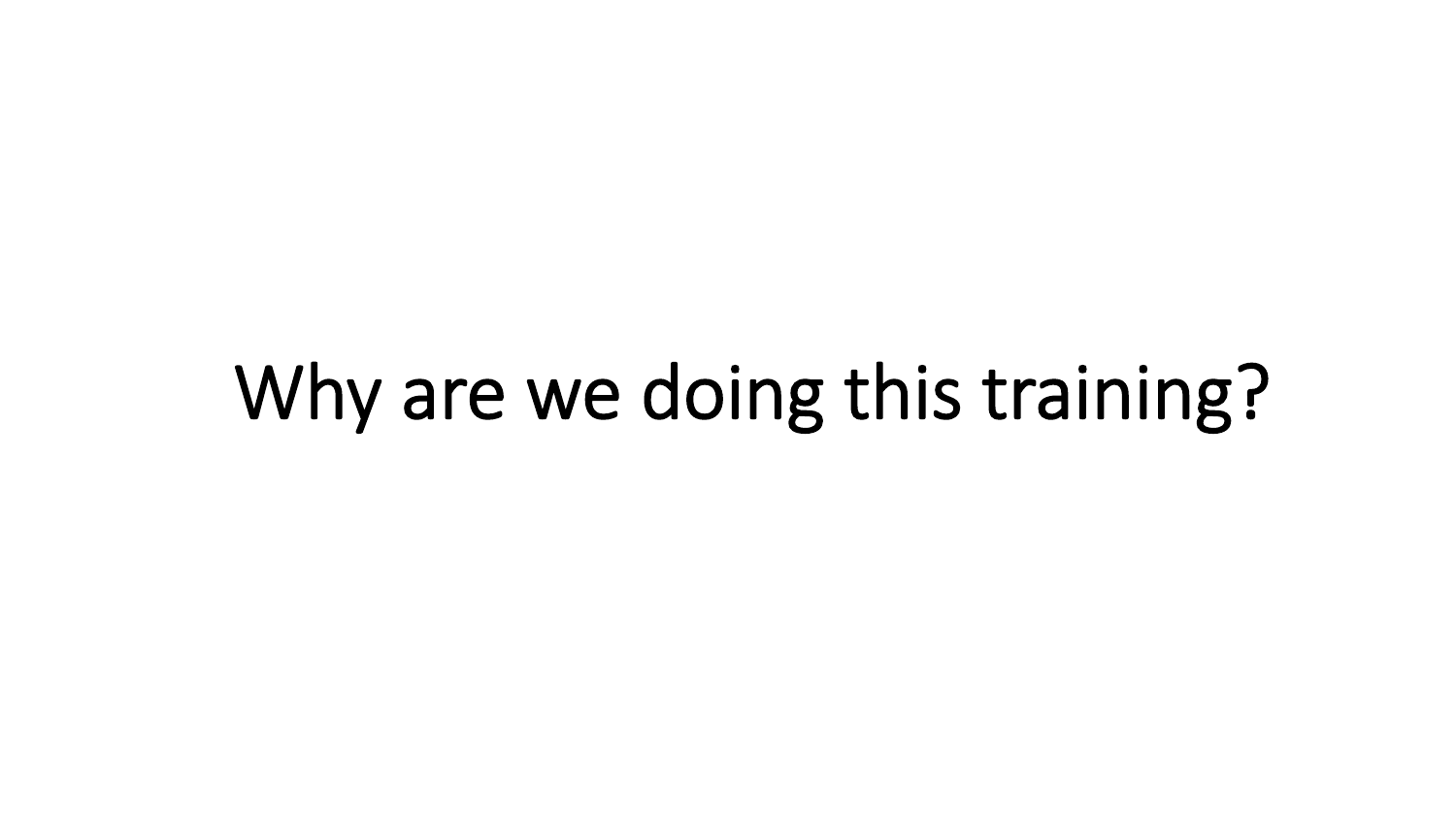## Why are we doing this training?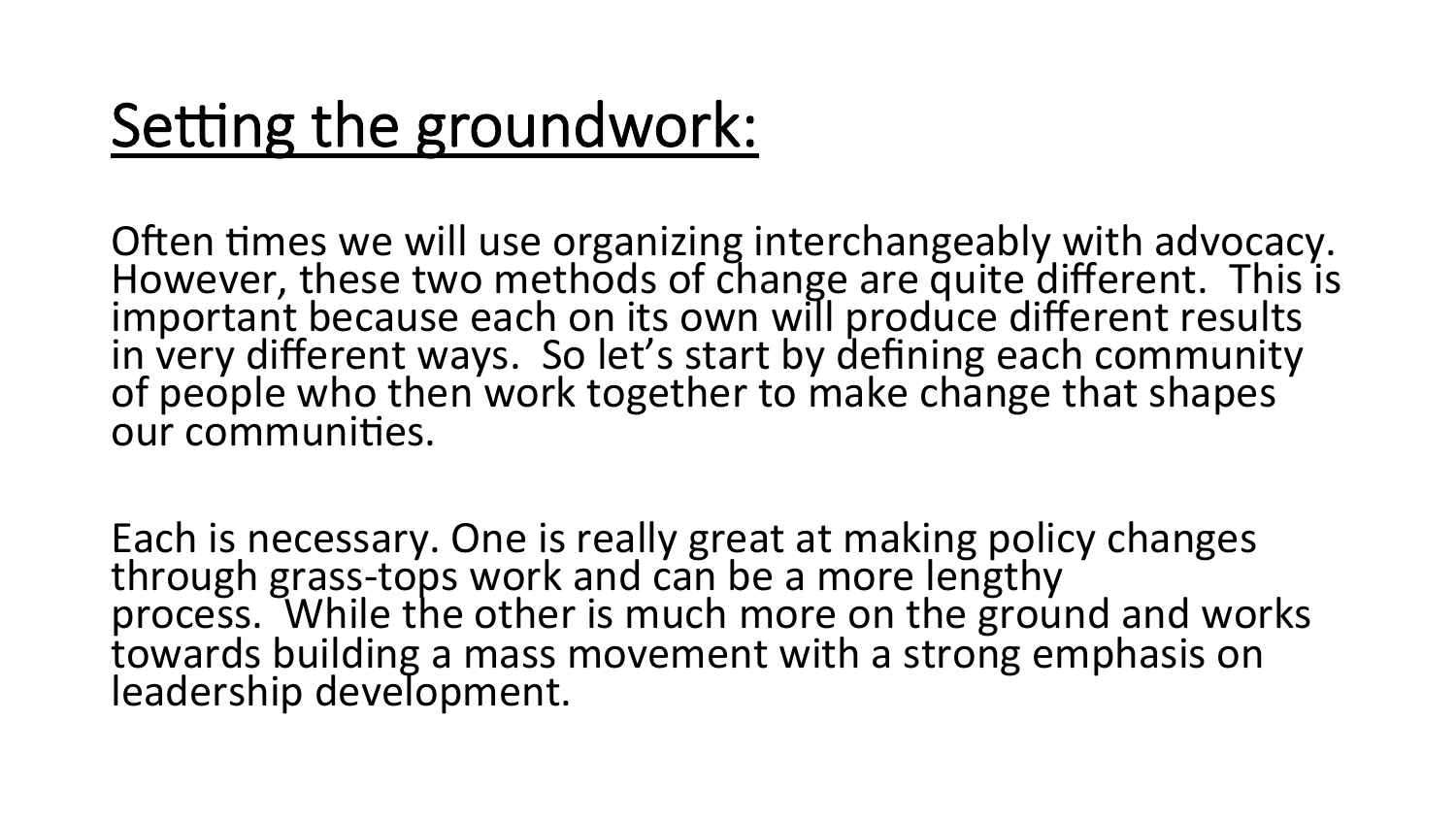### Setting the groundwork:

Often times we will use organizing interchangeably with advocacy. However, these two methods of change are quite different. This is important because each on its own will produce different results in very different ways. So let's start by defining each community of people who then work together to make change that shapes our communities.

Each is necessary. One is really great at making policy changes through grass-tops work and can be a more lengthy process. While the other is much more on the ground and works towards building a mass movement with a strong emphasis on leadership development.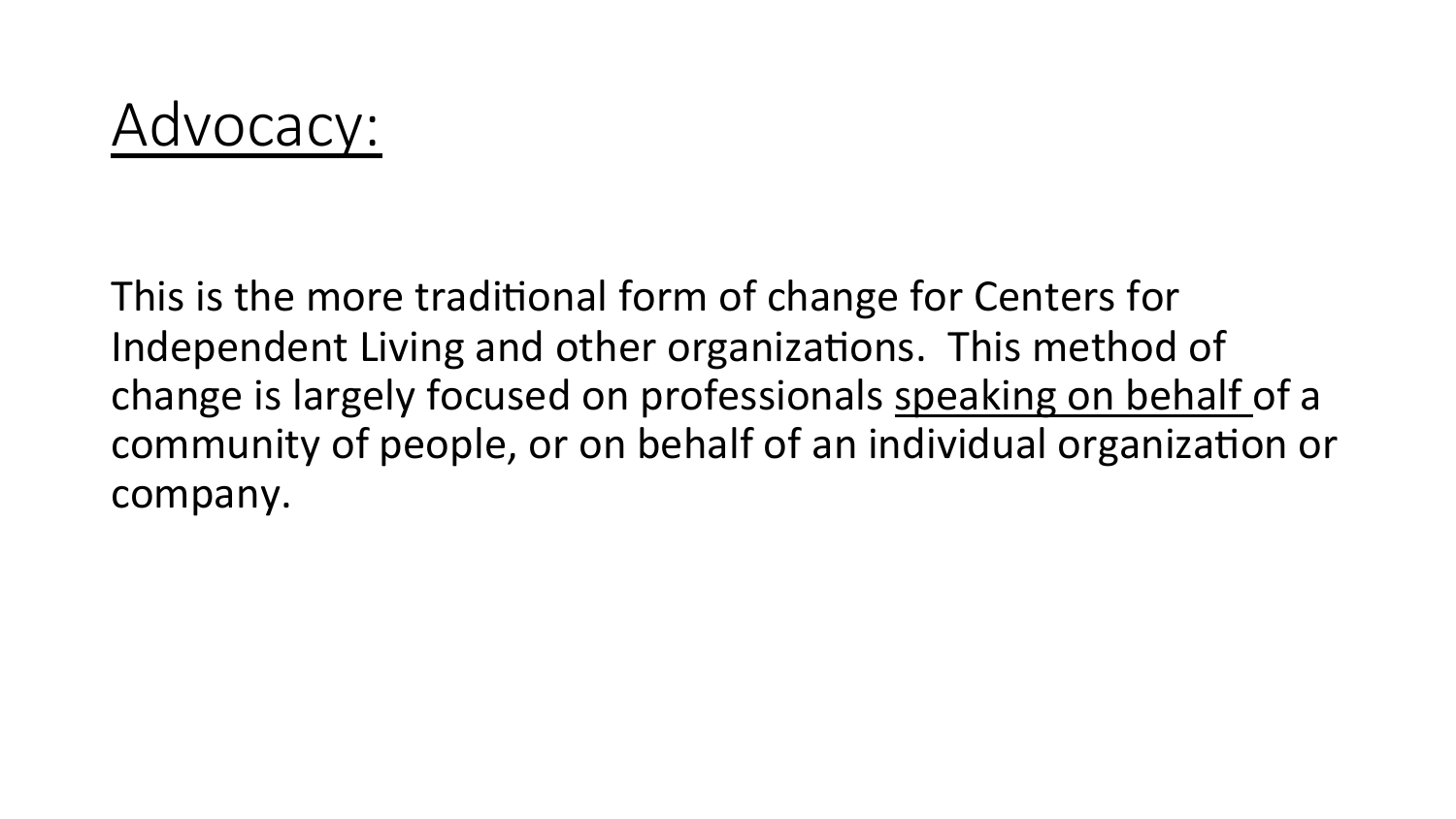#### Advocacy:

This is the more traditional form of change for Centers for Independent Living and other organizations. This method of change is largely focused on professionals speaking on behalf of a community of people, or on behalf of an individual organization or company.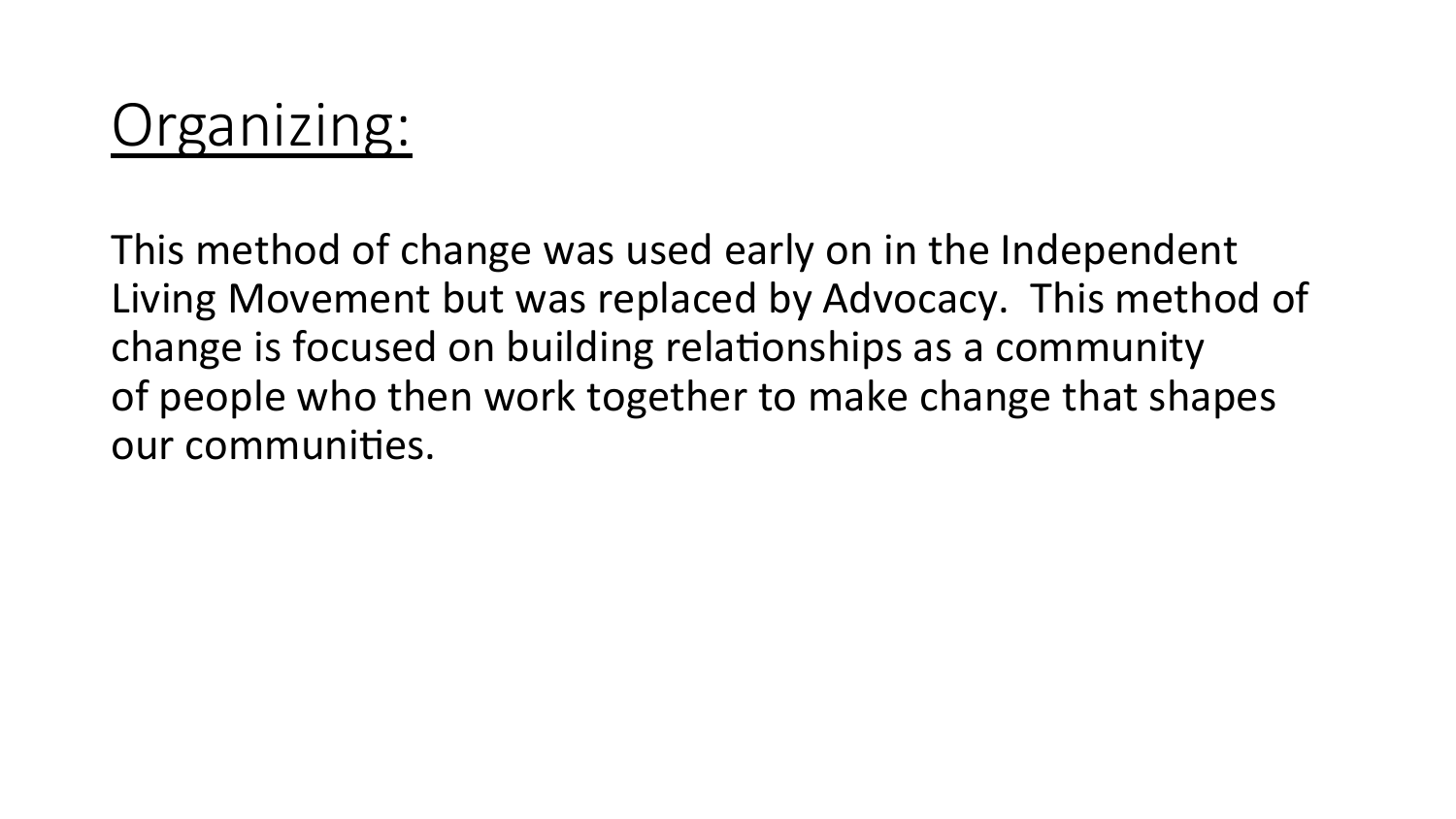#### Organizing:

This method of change was used early on in the Independent Living Movement but was replaced by Advocacy. This method of change is focused on building relationships as a community of people who then work together to make change that shapes our communities.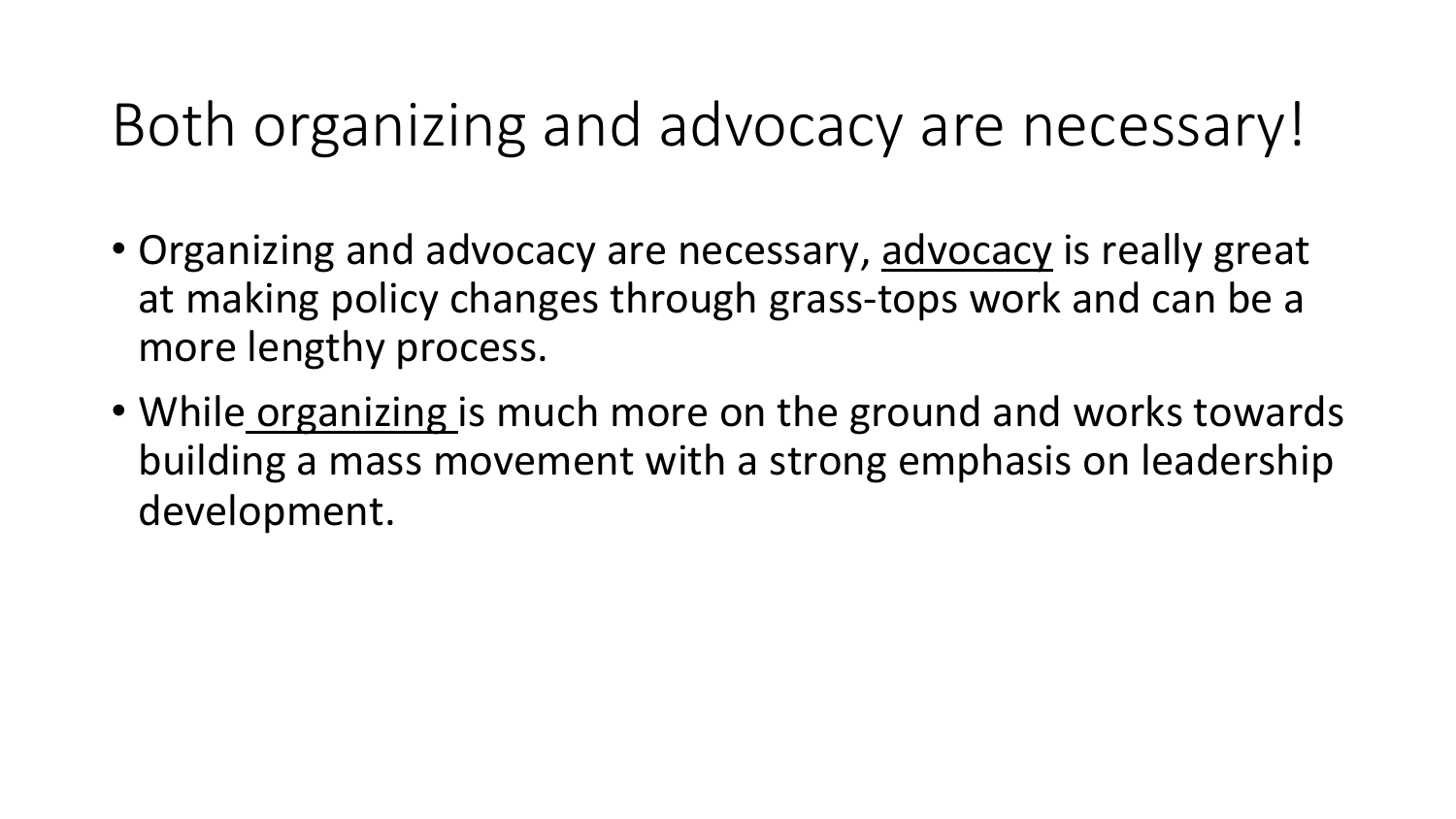#### Both organizing and advocacy are necessary!

- Organizing and advocacy are necessary, advocacy is really great at making policy changes through grass-tops work and can be a more lengthy process.
- While organizing is much more on the ground and works towards building a mass movement with a strong emphasis on leadership development.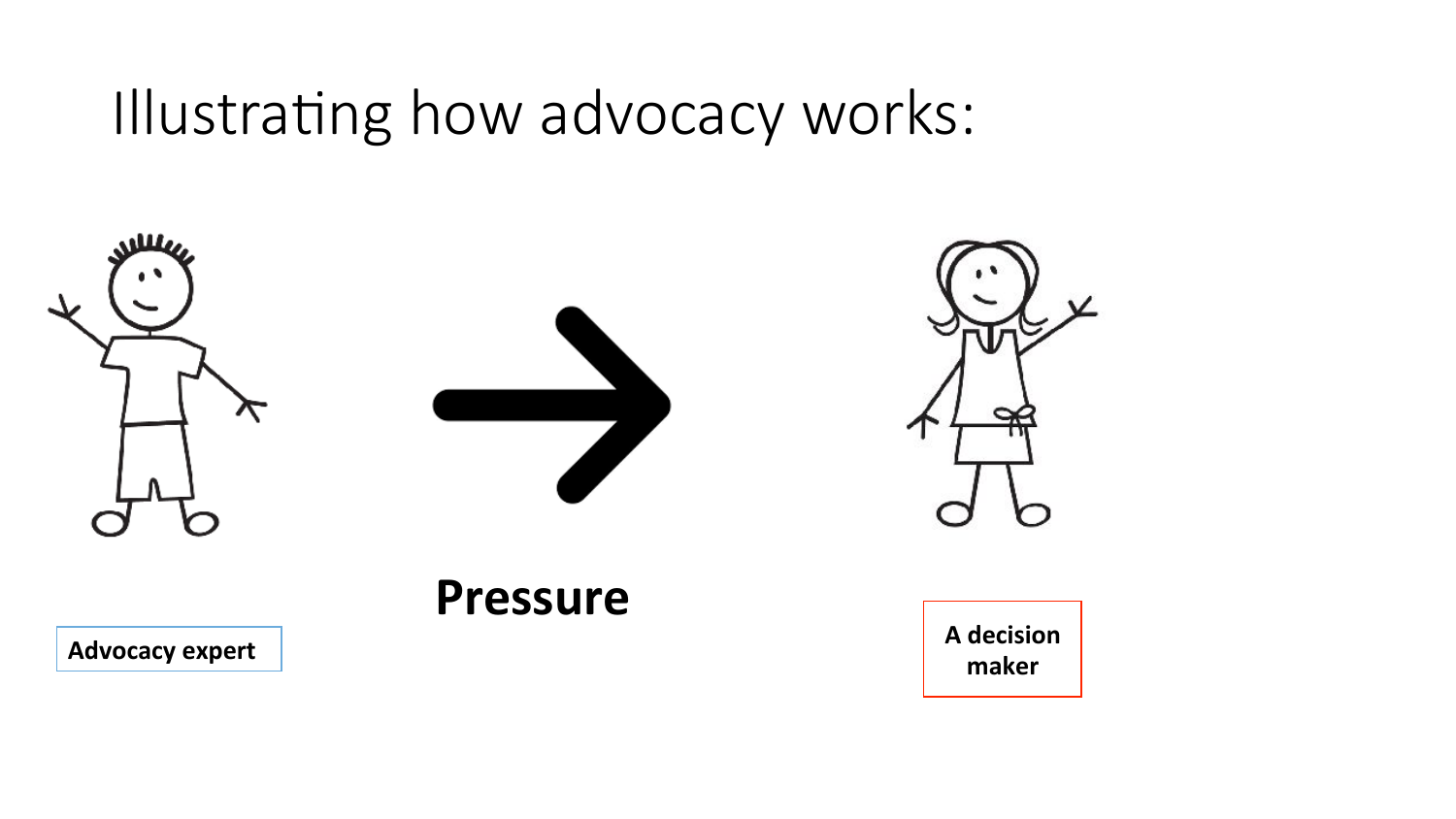Illustrating how advocacy works:

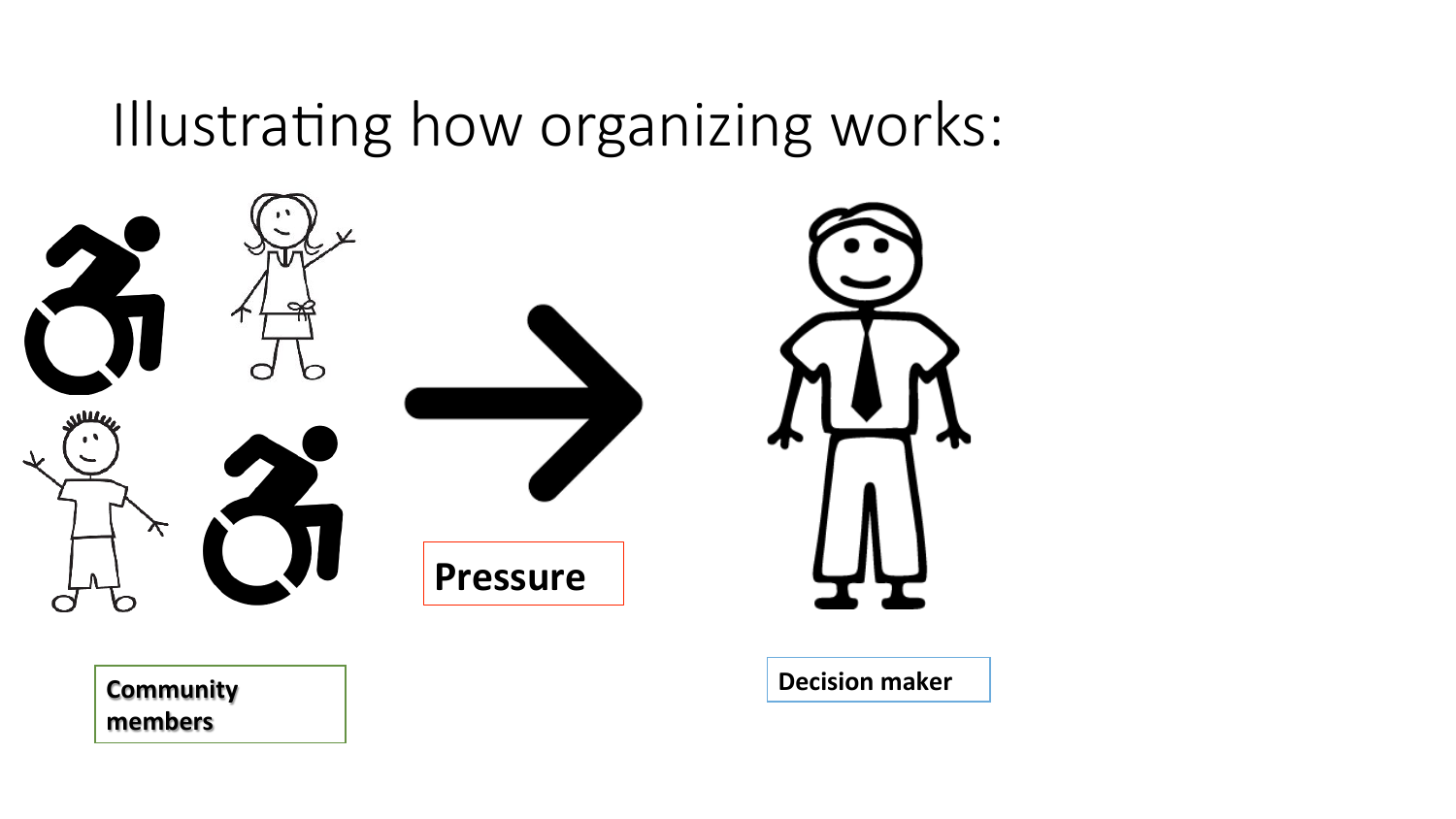#### Illustrating how organizing works:



**members**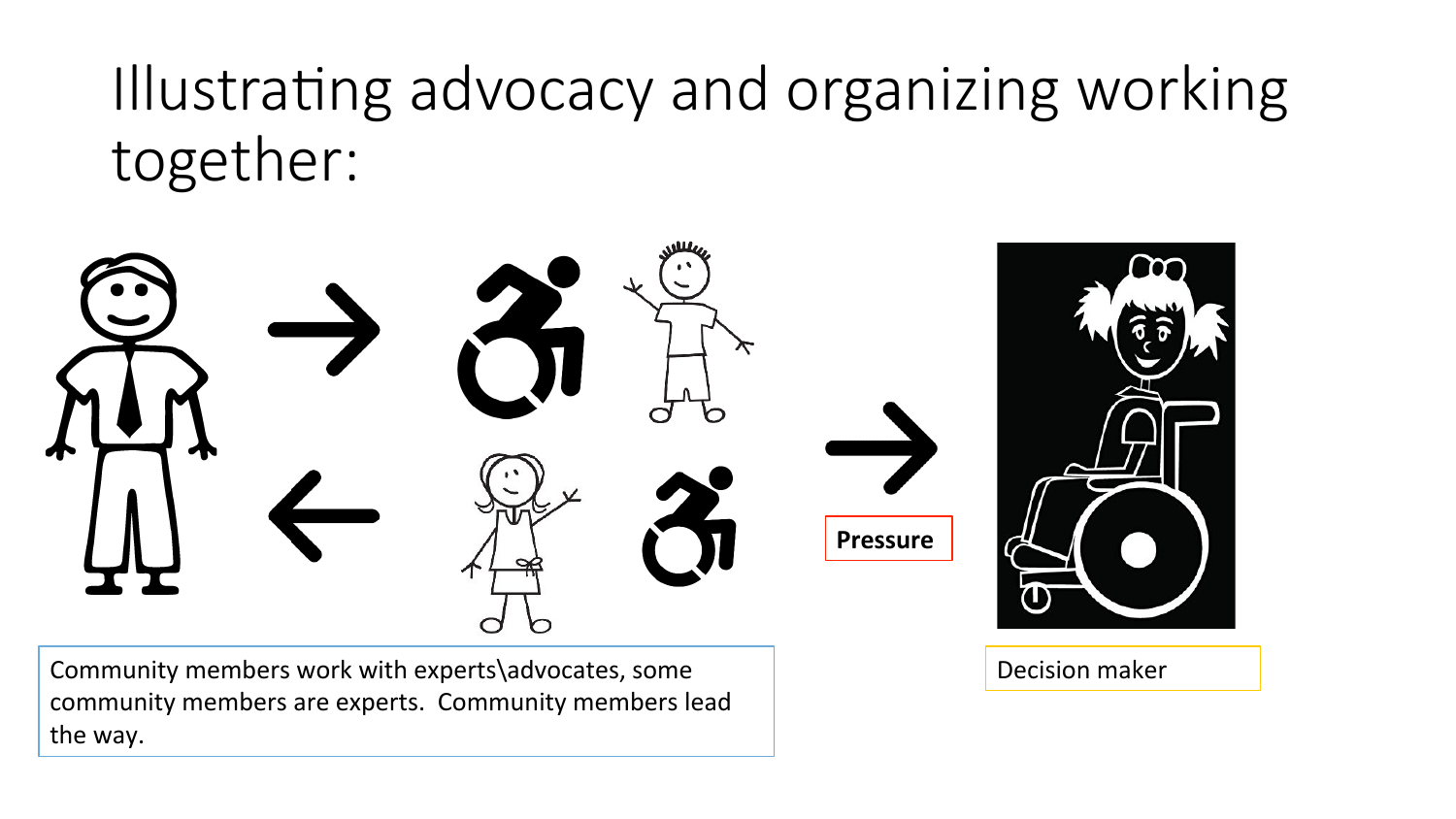Illustrating advocacy and organizing working together:



Community members work with experts\advocates, some community members are experts. Community members lead the way.

Decision maker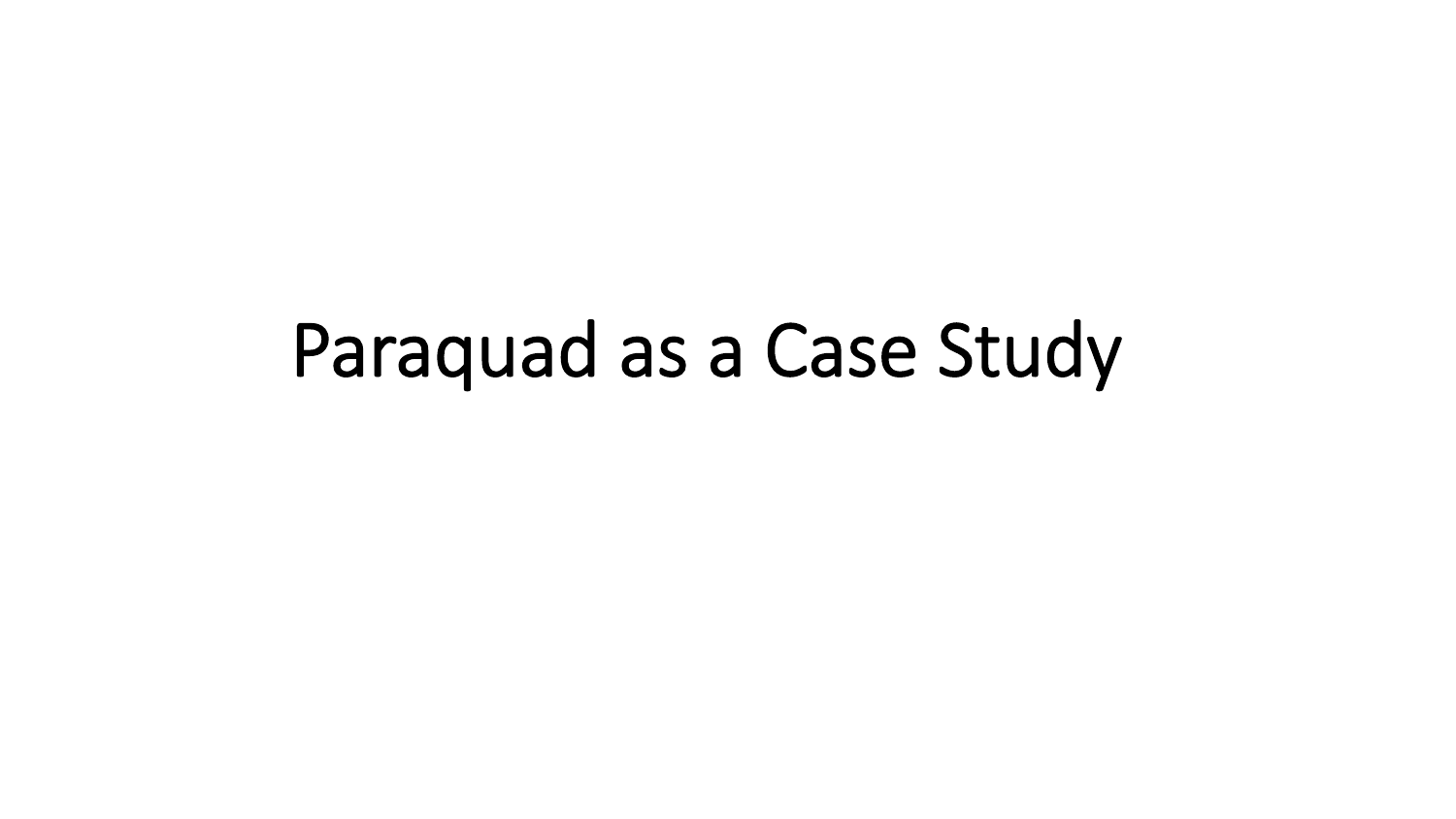# Paraquad as a Case Study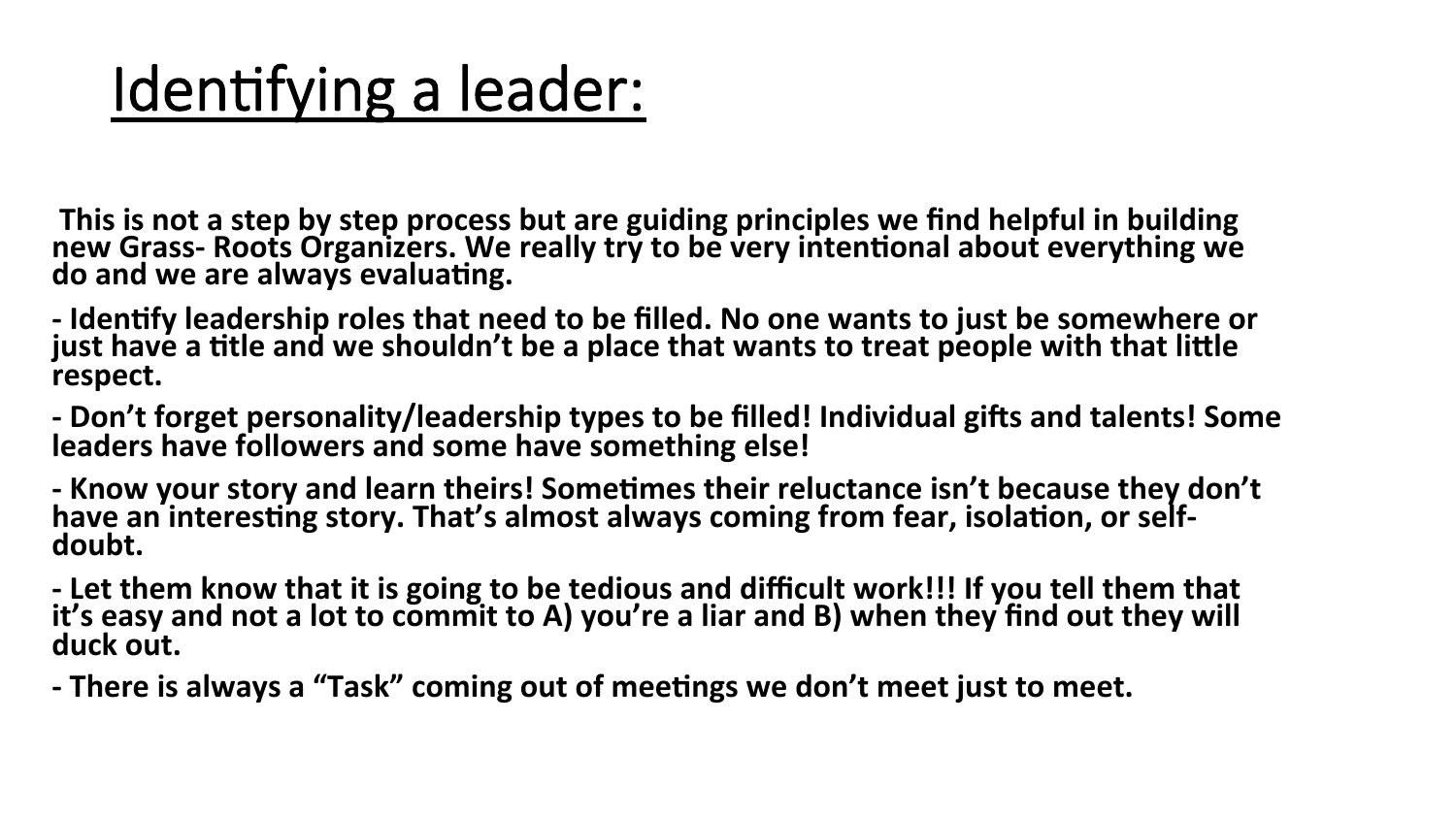### Identifying a leader:

This is not a step by step process but are guiding principles we find helpful in building new Grass- Roots Organizers. We really try to be very intentional about everything we do and we are always evaluating.

- Identify leadership roles that need to be filled. No one wants to just be somewhere or just have a title and we shouldn't be a place that wants to treat people with that little **respect.** 

- Don't forget personality/leadership types to be filled! Individual gifts and talents! Some leaders have followers and some have something else!

- Know your story and learn theirs! Sometimes their reluctance isn't because they don't have an interesting story. That's almost always coming from fear, isolation, or selfdoubt.

- Let them know that it is going to be tedious and difficult work!!! If you tell them that it's easy and not a lot to commit to A) you're a liar and B) when they find out they will duck out.

- There is always a "Task" coming out of meetings we don't meet just to meet.